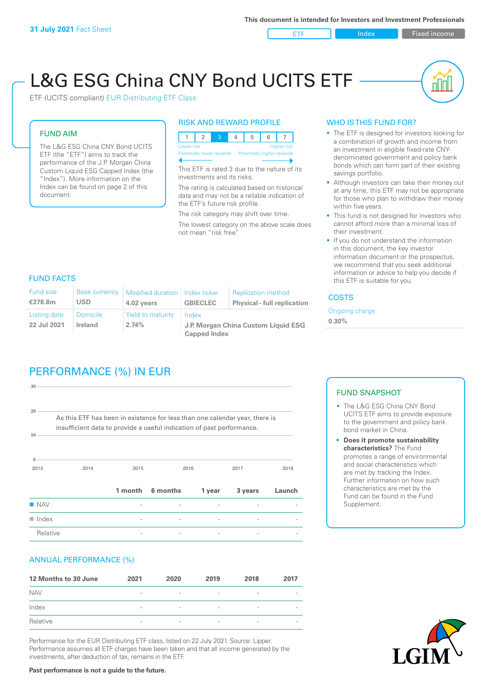ETF Index Fixed income

nl Inl

# L&G ESG China CNY Bond UCITS ETF

ETF (UCITS compliant) EUR Distributing ETF Class

#### FUND AIM

The L&G ESG China CNY Bond UCITS ETF (the "ETF") aims to track the performance of the J.P. Morgan China Custom Liquid ESG Capped Index (the "Index"). More information on the Index can be found on page 2 of this document.

#### RISK AND REWARD PROFILE



This ETF is rated 3 due to the nature of its investments and its risks.

The rating is calculated based on historical data and may not be a reliable indication of the ETF's future risk profile.

The risk category may shift over time. The lowest category on the above scale does not mean "risk free".

### WHO IS THIS FUND FOR?

- The ETF is designed for investors looking for a combination of growth and income from an investment in eligible fixed-rate CNYdenominated government and policy bank bonds which can form part of their existing savings portfolio.
- Although investors can take their money out at any time, this ETF may not be appropriate for those who plan to withdraw their money within five years.
- This fund is not designed for investors who cannot afford more than a minimal loss of their investment.
- If you do not understand the information in this document, the key investor information document or the prospectus, we recommend that you seek additional information or advice to help you decide if this ETF is suitable for you.

#### FUND FACTS

| <b>Fund size</b><br>€378.8m | Base currency<br><b>USD</b>       | Modified duration   Index ticker<br>4.02 years | <b>GBIECLEC</b>                              | <b>Replication method</b><br><b>Physical - full replication</b> | <b>COSTS</b>               |  |
|-----------------------------|-----------------------------------|------------------------------------------------|----------------------------------------------|-----------------------------------------------------------------|----------------------------|--|
| Listing date<br>22 Jul 2021 | <b>Domicile</b><br><b>Ireland</b> | Yield to maturity<br>2.74%                     | Index<br>J.P. Morgan China Custom Liquid ESG |                                                                 | Ongoing charge<br>$0.30\%$ |  |
|                             |                                   |                                                | <b>Capped Index</b>                          |                                                                 |                            |  |

# PERFORMANCE (%) IN EUR

| $30 -$                |                                                                                                                                                      |         |          |        |         |        |
|-----------------------|------------------------------------------------------------------------------------------------------------------------------------------------------|---------|----------|--------|---------|--------|
| 20 <sup>1</sup><br>10 | As this ETF has been in existence for less than one calendar year, there is<br>insufficient data to provide a useful indication of past performance. |         |          |        |         |        |
| $\Omega$<br>2013      | 2014                                                                                                                                                 | 2015    |          | 2016   | 2017    | 2018   |
|                       |                                                                                                                                                      | 1 month | 6 months | 1 year | 3 years | Launch |
| <b>NAV</b>            |                                                                                                                                                      |         |          |        |         |        |
| $\blacksquare$ Index  |                                                                                                                                                      |         |          |        |         |        |
| Relative              |                                                                                                                                                      |         |          |        |         |        |

#### ANNUAL PERFORMANCE (%)

| 12 Months to 30 June | 2021                     | 2020                     | 2019                     | 2018                     | 2017                     |
|----------------------|--------------------------|--------------------------|--------------------------|--------------------------|--------------------------|
| <b>NAV</b>           | $\overline{\phantom{a}}$ | $\overline{\phantom{a}}$ | $\overline{\phantom{a}}$ | $\qquad \qquad$          | $\overline{\phantom{a}}$ |
| Index                | $\overline{\phantom{a}}$ | $\overline{\phantom{a}}$ | $\overline{\phantom{a}}$ | $\qquad \qquad$          | $\overline{\phantom{a}}$ |
| Relative             | $\overline{\phantom{a}}$ | $\sim$                   | $\overline{\phantom{a}}$ | $\overline{\phantom{a}}$ | $\overline{\phantom{a}}$ |

Performance for the EUR Distributing ETF class, listed on 22 July 2021. Source: Lipper. Performance assumes all ETF charges have been taken and that all income generated by the investments, after deduction of tax, remains in the ETF.

#### FUND SNAPSHOT

- The L&G ESG China CNY Bond UCITS ETF aims to provide exposure to the government and policy bank bond market in China.
- **• Does it promote sustainability characteristics?** The Fund promotes a range of environmental and social characteristics which are met by tracking the Index. Further information on how such characteristics are met by the Fund can be found in the Fund Supplement.



**Past performance is not a guide to the future.**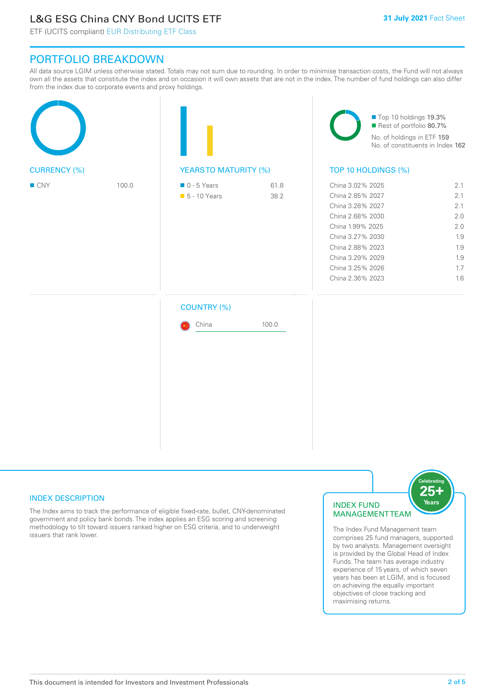# L&G ESG China CNY Bond UCITS ETF

ETF (UCITS compliant) EUR Distributing ETF Class

## PORTFOLIO BREAKDOWN

All data source LGIM unless otherwise stated. Totals may not sum due to rounding. In order to minimise transaction costs, the Fund will not always own all the assets that constitute the index and on occasion it will own assets that are not in the index. The number of fund holdings can also differ from the index due to corporate events and proxy holdings.

|                     |       |                                              |              | Top 10 holdings 19.3%<br>Rest of portfolio 80.7%<br>No. of holdings in ETF 159<br>No. of constituents in Index 162                                                                                   |                                                                    |  |
|---------------------|-------|----------------------------------------------|--------------|------------------------------------------------------------------------------------------------------------------------------------------------------------------------------------------------------|--------------------------------------------------------------------|--|
| <b>CURRENCY (%)</b> |       | <b>YEARSTO MATURITY (%)</b>                  |              | TOP 10 HOLDINGS (%)                                                                                                                                                                                  |                                                                    |  |
| ■ CNY               | 100.0 | $\blacksquare$ 0 - 5 Years<br>• 5 - 10 Years | 61.8<br>38.2 | China 3.02% 2025<br>China 2.85% 2027<br>China 3.28% 2027<br>China 2.68% 2030<br>China 1.99% 2025<br>China 3.27% 2030<br>China 2.88% 2023<br>China 3.29% 2029<br>China 3.25% 2026<br>China 2.36% 2023 | 2.1<br>2.1<br>2.1<br>2.0<br>2.0<br>1.9<br>1.9<br>1.9<br>1.7<br>1.6 |  |
|                     |       | <b>COUNTRY (%)</b><br>China                  | 100.0        |                                                                                                                                                                                                      |                                                                    |  |
|                     |       |                                              |              |                                                                                                                                                                                                      |                                                                    |  |

### INDEX DESCRIPTION

The Index aims to track the performance of eligible fixed-rate, bullet, CNY-denominated government and policy bank bonds. The index applies an ESG scoring and screening methodology to tilt toward issuers ranked higher on ESG criteria, and to underweight issuers that rank lower.

#### INDEX FUND MANAGEMENT TEAM



The Index Fund Management team comprises 25 fund managers, supported by two analysts. Management oversight is provided by the Global Head of Index Funds. The team has average industry experience of 15 years, of which seven years has been at LGIM, and is focused on achieving the equally important objectives of close tracking and maximising returns.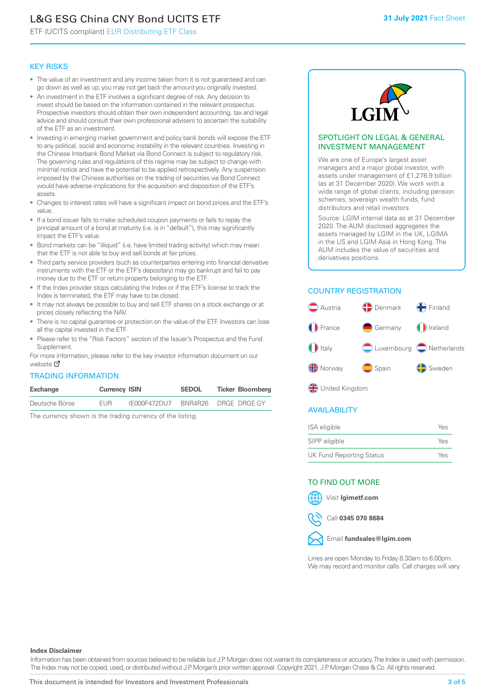# L&G ESG China CNY Bond UCITS ETF

ETF (UCITS compliant) EUR Distributing ETF Class

#### KEY RISKS

- The value of an investment and any income taken from it is not guaranteed and can go down as well as up; you may not get back the amount you originally invested.
- An investment in the ETF involves a significant degree of risk. Any decision to invest should be based on the information contained in the relevant prospectus. Prospective investors should obtain their own independent accounting, tax and legal advice and should consult their own professional advisers to ascertain the suitability of the ETF as an investment.
- Investing in emerging market government and policy bank bonds will expose the ETF to any political, social and economic instability in the relevant countries. Investing in the Chinese Interbank Bond Market via Bond Connect is subject to regulatory risk. The governing rules and regulations of this regime may be subject to change with minimal notice and have the potential to be applied retrospectively. Any suspension imposed by the Chinese authorities on the trading of securities via Bond Connect would have adverse implications for the acquisition and disposition of the ETF's assets.
- Changes to interest rates will have a significant impact on bond prices and the ETF's value.
- If a bond issuer fails to make scheduled coupon payments or fails to repay the principal amount of a bond at maturity (i.e. is in "default"), this may significantly impact the ETF's value.
- Bond markets can be "illiquid" (i.e. have limited trading activity) which may mean that the ETF is not able to buy and sell bonds at fair prices.
- Third party service providers (such as counterparties entering into financial derivative instruments with the ETF or the ETF's depositary) may go bankrupt and fail to pay money due to the ETF or return property belonging to the ETF.
- If the Index provider stops calculating the Index or if the ETF's license to track the Index is terminated, the ETF may have to be closed.
- It may not always be possible to buy and sell ETF shares on a stock exchange or at prices closely reflecting the NAV.
- There is no capital guarantee or protection on the value of the ETF. Investors can lose all the capital invested in the ETF.
- Please refer to the "Risk Factors" section of the Issuer's Prospectus and the Fund Supplement.

For mo[re inf](https://www.lgimetf.com/)ormation, please refer to the key investor information document on our website M

#### TRADING INFORMATION

| Exchange       | <b>Currency ISIN</b> |              | <b>SEDOL</b> | <b>Ticker Bloomberg</b> |
|----------------|----------------------|--------------|--------------|-------------------------|
| Deutsche Börse | <b>FUR</b>           | IE000F472DU7 |              | BNR4R26 DRGE DRGE GY    |

The currency shown is the trading currency of the listing.



#### SPOTLIGHT ON LEGAL & GENERAL INVESTMENT MANAGEMENT

We are one of Europe's largest asset managers and a major global investor, with assets under management of £1,278.9 billion (as at 31 December 2020). We work with a wide range of global clients, including pension schemes, sovereign wealth funds, fund distributors and retail investors.

Source: LGIM internal data as at 31 December 2020. The AUM disclosed aggregates the assets managed by LGIM in the UK, LGIMA in the US and LGIM Asia in Hong Kong. The AUM includes the value of securities and derivatives positions.

### COUNTRY REGISTRATION



**OR** United Kingdom

#### AVAILABILITY

| ISA eligible                    | Yes |
|---------------------------------|-----|
| SIPP eligible                   | Yes |
| <b>UK Fund Reporting Status</b> | Yes |

#### TO FIND OUT MORE

Visit **lgimetf.com**



Call **0345 070 8684**



Lines are open Monday to Friday 8.30am to 6.00pm. We may record and monitor calls. Call charges will vary.

#### **Index Disclaimer**

Information has been obtained from sources believed to be reliable but J.P. Morgan does not warrant its completeness or accuracy. The Index is used with permission. The Index may not be copied, used, or distributed without J.P. Morgan's prior written approval. Copyright 2021, J.P. Morgan Chase & Co. All rights reserved.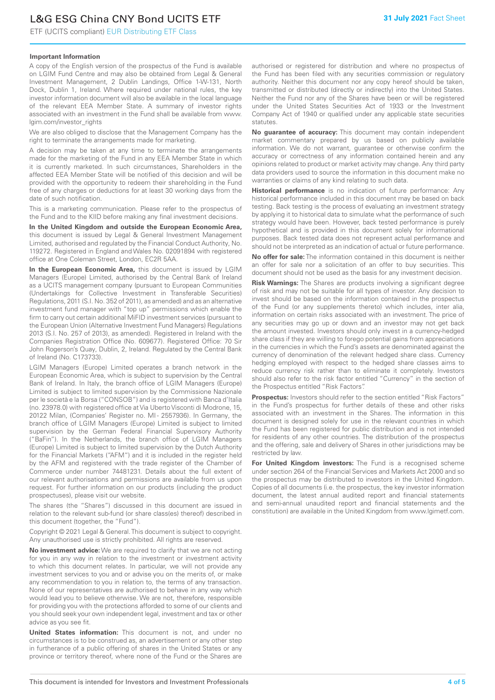# L&G ESG China CNY Bond UCITS ETF

ETF (UCITS compliant) EUR Distributing ETF Class

#### **Important Information**

A copy of the English version of the prospectus of the Fund is available on LGIM Fund Centre and may also be obtained from Legal & General Investment Management, 2 Dublin Landings, Office 1-W-131, North Dock, Dublin 1, Ireland. Where required under national rules, the key investor information document will also be available in the local language of the relevant EEA Member State. A summary of investor rights associated with an investment in the Fund shall be available from www. lgim.com/investor\_rights

We are also obliged to disclose that the Management Company has the right to terminate the arrangements made for marketing.

A decision may be taken at any time to terminate the arrangements made for the marketing of the Fund in any EEA Member State in which it is currently marketed. In such circumstances, Shareholders in the affected EEA Member State will be notified of this decision and will be provided with the opportunity to redeem their shareholding in the Fund free of any charges or deductions for at least 30 working days from the date of such notification.

This is a marketing communication. Please refer to the prospectus of the Fund and to the KIID before making any final investment decisions.

**In the United Kingdom and outside the European Economic Area,** this document is issued by Legal & General Investment Management Limited, authorised and regulated by the Financial Conduct Authority, No. 119272. Registered in England and Wales No. 02091894 with registered office at One Coleman Street, London, EC2R 5AA.

**In the European Economic Area,** this document is issued by LGIM Managers (Europe) Limited, authorised by the Central Bank of Ireland as a UCITS management company (pursuant to European Communities (Undertakings for Collective Investment in Transferable Securities) Regulations, 2011 (S.I. No. 352 of 2011), as amended) and as an alternative investment fund manager with "top up" permissions which enable the firm to carry out certain additional MiFID investment services (pursuant to the European Union (Alternative Investment Fund Managers) Regulations 2013 (S.I. No. 257 of 2013), as amended). Registered in Ireland with the Companies Registration Office (No. 609677). Registered Office: 70 Sir John Rogerson's Quay, Dublin, 2, Ireland. Regulated by the Central Bank of Ireland (No. C173733).

LGIM Managers (Europe) Limited operates a branch network in the European Economic Area, which is subject to supervision by the Central Bank of Ireland. In Italy, the branch office of LGIM Managers (Europe) Limited is subject to limited supervision by the Commissione Nazionale per le società e la Borsa ("CONSOB") and is registered with Banca d'Italia (no. 23978.0) with registered office at Via Uberto Visconti di Modrone, 15, 20122 Milan, (Companies' Register no. MI - 2557936). In Germany, the branch office of LGIM Managers (Europe) Limited is subject to limited supervision by the German Federal Financial Supervisory Authority ("BaFin"). In the Netherlands, the branch office of LGIM Managers (Europe) Limited is subject to limited supervision by the Dutch Authority for the Financial Markets ("AFM") and it is included in the register held by the AFM and registered with the trade register of the Chamber of Commerce under number 74481231. Details about the full extent of our relevant authorisations and permissions are available from us upon request. For further information on our products (including the product prospectuses), please visit our website.

The shares (the "Shares") discussed in this document are issued in relation to the relevant sub-fund (or share class(es) thereof) described in this document (together, the "Fund").

Copyright © 2021 Legal & General. This document is subject to copyright. Any unauthorised use is strictly prohibited. All rights are reserved.

**No investment advice:** We are required to clarify that we are not acting for you in any way in relation to the investment or investment activity to which this document relates. In particular, we will not provide any investment services to you and or advise you on the merits of, or make any recommendation to you in relation to, the terms of any transaction. None of our representatives are authorised to behave in any way which would lead you to believe otherwise. We are not, therefore, responsible for providing you with the protections afforded to some of our clients and you should seek your own independent legal, investment and tax or other advice as you see fit.

**United States information:** This document is not, and under no circumstances is to be construed as, an advertisement or any other step in furtherance of a public offering of shares in the United States or any province or territory thereof, where none of the Fund or the Shares are authorised or registered for distribution and where no prospectus of the Fund has been filed with any securities commission or regulatory authority. Neither this document nor any copy hereof should be taken, transmitted or distributed (directly or indirectly) into the United States. Neither the Fund nor any of the Shares have been or will be registered under the United States Securities Act of 1933 or the Investment Company Act of 1940 or qualified under any applicable state securities statutes.

**No guarantee of accuracy:** This document may contain independent market commentary prepared by us based on publicly available information. We do not warrant, guarantee or otherwise confirm the accuracy or correctness of any information contained herein and any opinions related to product or market activity may change. Any third party data providers used to source the information in this document make no warranties or claims of any kind relating to such data.

**Historical performance** is no indication of future performance: Any historical performance included in this document may be based on back testing. Back testing is the process of evaluating an investment strategy by applying it to historical data to simulate what the performance of such strategy would have been. However, back tested performance is purely hypothetical and is provided in this document solely for informational purposes. Back tested data does not represent actual performance and should not be interpreted as an indication of actual or future performance.

**No offer for sale:** The information contained in this document is neither an offer for sale nor a solicitation of an offer to buy securities. This document should not be used as the basis for any investment decision.

**Risk Warnings:** The Shares are products involving a significant degree of risk and may not be suitable for all types of investor. Any decision to invest should be based on the information contained in the prospectus of the Fund (or any supplements thereto) which includes, inter alia, information on certain risks associated with an investment. The price of any securities may go up or down and an investor may not get back the amount invested. Investors should only invest in a currency-hedged share class if they are willing to forego potential gains from appreciations in the currencies in which the Fund's assets are denominated against the currency of denomination of the relevant hedged share class. Currency hedging employed with respect to the hedged share classes aims to reduce currency risk rather than to eliminate it completely. Investors should also refer to the risk factor entitled "Currency" in the section of the Prospectus entitled "Risk Factors".

**Prospectus:** Investors should refer to the section entitled "Risk Factors" in the Fund's prospectus for further details of these and other risks associated with an investment in the Shares. The information in this document is designed solely for use in the relevant countries in which the Fund has been registered for public distribution and is not intended for residents of any other countries. The distribution of the prospectus and the offering, sale and delivery of Shares in other jurisdictions may be restricted by law.

**For United Kingdom investors:** The Fund is a recognised scheme under section 264 of the Financial Services and Markets Act 2000 and so the prospectus may be distributed to investors in the United Kingdom. Copies of all documents (i.e. the prospectus, the key investor information document, the latest annual audited report and financial statements and semi-annual unaudited report and financial statements and the constitution) are available in the United Kingdom from www.lgimetf.com.